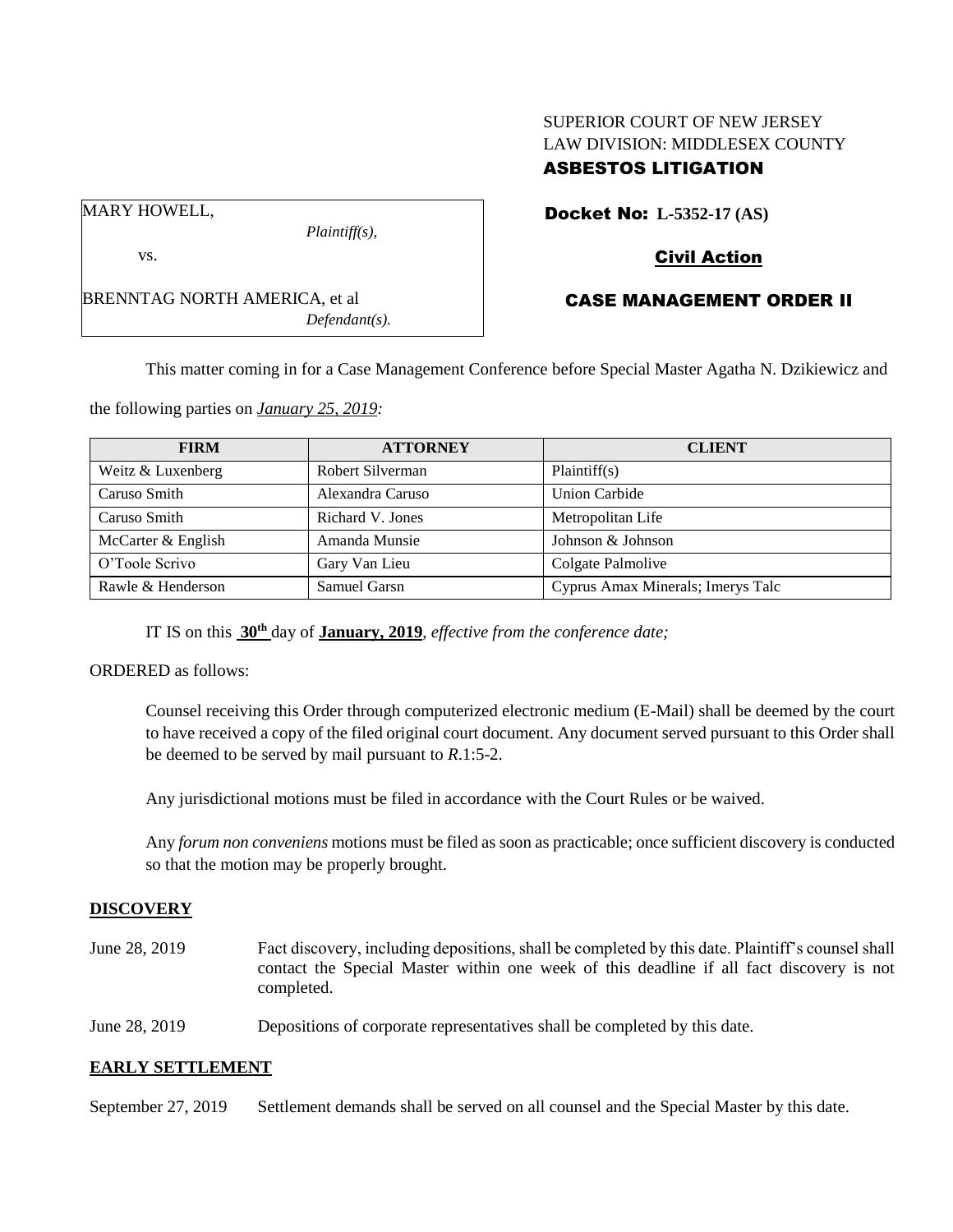# SUPERIOR COURT OF NEW JERSEY LAW DIVISION: MIDDLESEX COUNTY ASBESTOS LITIGATION

Docket No: **L-5352-17 (AS)** 

MARY HOWELL,

vs.

*Plaintiff(s),*

*Defendant(s).*

## Civil Action

## CASE MANAGEMENT ORDER II

This matter coming in for a Case Management Conference before Special Master Agatha N. Dzikiewicz and

the following parties on *January 25, 2019:*

BRENNTAG NORTH AMERICA, et al

| <b>FIRM</b>        | <b>ATTORNEY</b>  | <b>CLIENT</b>                     |  |
|--------------------|------------------|-----------------------------------|--|
| Weitz & Luxenberg  | Robert Silverman | Plaintiff(s)                      |  |
| Caruso Smith       | Alexandra Caruso | <b>Union Carbide</b>              |  |
| Caruso Smith       | Richard V. Jones | Metropolitan Life                 |  |
| McCarter & English | Amanda Munsie    | Johnson & Johnson                 |  |
| O'Toole Scrivo     | Gary Van Lieu    | Colgate Palmolive                 |  |
| Rawle & Henderson  | Samuel Garsn     | Cyprus Amax Minerals; Imerys Talc |  |

IT IS on this **30th** day of **January, 2019**, *effective from the conference date;*

ORDERED as follows:

Counsel receiving this Order through computerized electronic medium (E-Mail) shall be deemed by the court to have received a copy of the filed original court document. Any document served pursuant to this Order shall be deemed to be served by mail pursuant to *R*.1:5-2.

Any jurisdictional motions must be filed in accordance with the Court Rules or be waived.

Any *forum non conveniens* motions must be filed as soon as practicable; once sufficient discovery is conducted so that the motion may be properly brought.

#### **DISCOVERY**

June 28, 2019 Fact discovery, including depositions, shall be completed by this date. Plaintiff's counsel shall contact the Special Master within one week of this deadline if all fact discovery is not completed.

June 28, 2019 Depositions of corporate representatives shall be completed by this date.

### **EARLY SETTLEMENT**

September 27, 2019 Settlement demands shall be served on all counsel and the Special Master by this date.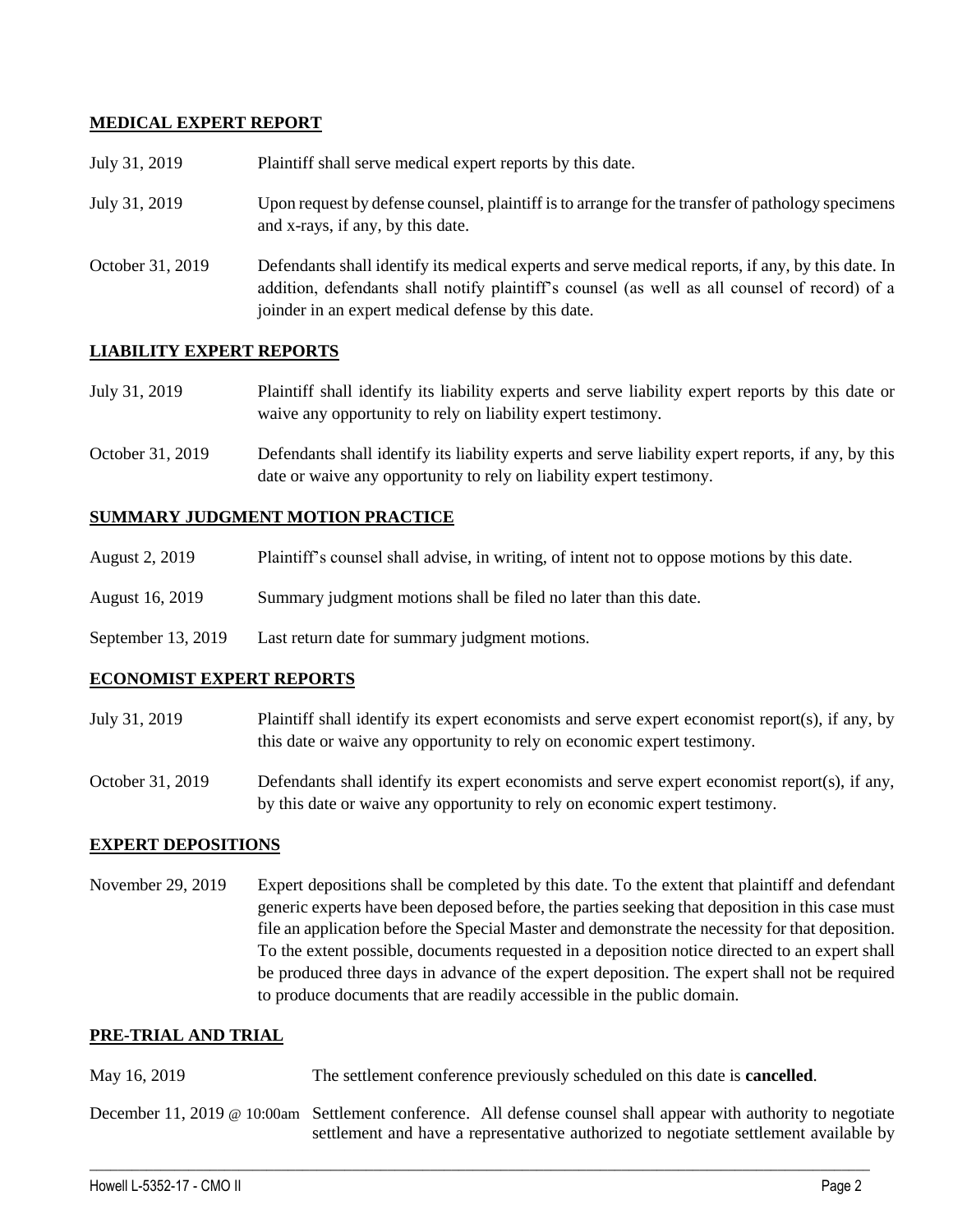### **MEDICAL EXPERT REPORT**

| July 31, 2019    | Plaintiff shall serve medical expert reports by this date.                                                                                                                                                                                               |
|------------------|----------------------------------------------------------------------------------------------------------------------------------------------------------------------------------------------------------------------------------------------------------|
| July 31, 2019    | Upon request by defense counsel, plaintiff is to arrange for the transfer of pathology specimens<br>and x-rays, if any, by this date.                                                                                                                    |
| October 31, 2019 | Defendants shall identify its medical experts and serve medical reports, if any, by this date. In<br>addition, defendants shall notify plaintiff's counsel (as well as all counsel of record) of a<br>joinder in an expert medical defense by this date. |

### **LIABILITY EXPERT REPORTS**

| July 31, 2019 | Plaintiff shall identify its liability experts and serve liability expert reports by this date or |  |  |  |  |  |
|---------------|---------------------------------------------------------------------------------------------------|--|--|--|--|--|
|               | waive any opportunity to rely on liability expert testimony.                                      |  |  |  |  |  |

October 31, 2019 Defendants shall identify its liability experts and serve liability expert reports, if any, by this date or waive any opportunity to rely on liability expert testimony.

### **SUMMARY JUDGMENT MOTION PRACTICE**

| August 2, 2019 | Plaintiff's counsel shall advise, in writing, of intent not to oppose motions by this date. |  |  |
|----------------|---------------------------------------------------------------------------------------------|--|--|
|                |                                                                                             |  |  |

- August 16, 2019 Summary judgment motions shall be filed no later than this date.
- September 13, 2019 Last return date for summary judgment motions.

### **ECONOMIST EXPERT REPORTS**

July 31, 2019 Plaintiff shall identify its expert economists and serve expert economist report(s), if any, by this date or waive any opportunity to rely on economic expert testimony.

October 31, 2019 Defendants shall identify its expert economists and serve expert economist report(s), if any, by this date or waive any opportunity to rely on economic expert testimony.

### **EXPERT DEPOSITIONS**

November 29, 2019 Expert depositions shall be completed by this date. To the extent that plaintiff and defendant generic experts have been deposed before, the parties seeking that deposition in this case must file an application before the Special Master and demonstrate the necessity for that deposition. To the extent possible, documents requested in a deposition notice directed to an expert shall be produced three days in advance of the expert deposition. The expert shall not be required to produce documents that are readily accessible in the public domain.

### **PRE-TRIAL AND TRIAL**

May 16, 2019 The settlement conference previously scheduled on this date is **cancelled**. December 11, 2019 @ 10:00am Settlement conference. All defense counsel shall appear with authority to negotiate settlement and have a representative authorized to negotiate settlement available by

 $\_$  ,  $\_$  ,  $\_$  ,  $\_$  ,  $\_$  ,  $\_$  ,  $\_$  ,  $\_$  ,  $\_$  ,  $\_$  ,  $\_$  ,  $\_$  ,  $\_$  ,  $\_$  ,  $\_$  ,  $\_$  ,  $\_$  ,  $\_$  ,  $\_$  ,  $\_$  ,  $\_$  ,  $\_$  ,  $\_$  ,  $\_$  ,  $\_$  ,  $\_$  ,  $\_$  ,  $\_$  ,  $\_$  ,  $\_$  ,  $\_$  ,  $\_$  ,  $\_$  ,  $\_$  ,  $\_$  ,  $\_$  ,  $\_$  ,